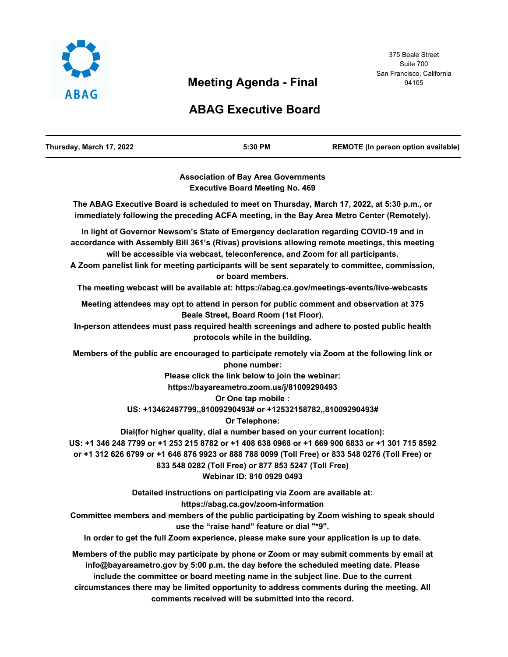

# **Meeting Agenda - Final**

# **ABAG Executive Board**

| Thursday, March 17, 2022 | 5:30 PM | <b>REMOTE (In person option available)</b> |
|--------------------------|---------|--------------------------------------------|
|                          |         |                                            |

**Association of Bay Area Governments Executive Board Meeting No. 469**

**The ABAG Executive Board is scheduled to meet on Thursday, March 17, 2022, at 5:30 p.m., or immediately following the preceding ACFA meeting, in the Bay Area Metro Center (Remotely).**

**In light of Governor Newsom's State of Emergency declaration regarding COVID-19 and in accordance with Assembly Bill 361's (Rivas) provisions allowing remote meetings, this meeting will be accessible via webcast, teleconference, and Zoom for all participants.**

**A Zoom panelist link for meeting participants will be sent separately to committee, commission, or board members.**

**The meeting webcast will be available at: https://abag.ca.gov/meetings-events/live-webcasts**

**Meeting attendees may opt to attend in person for public comment and observation at 375 Beale Street, Board Room (1st Floor).**

**In-person attendees must pass required health screenings and adhere to posted public health protocols while in the building.**

**Members of the public are encouraged to participate remotely via Zoom at the following link or phone number:**

**Please click the link below to join the webinar:**

**https://bayareametro.zoom.us/j/81009290493**

**Or One tap mobile :**

**US: +13462487799,,81009290493# or +12532158782,,81009290493#**

**Or Telephone:**

**Dial(for higher quality, dial a number based on your current location):**

**US: +1 346 248 7799 or +1 253 215 8782 or +1 408 638 0968 or +1 669 900 6833 or +1 301 715 8592 or +1 312 626 6799 or +1 646 876 9923 or 888 788 0099 (Toll Free) or 833 548 0276 (Toll Free) or** 

**833 548 0282 (Toll Free) or 877 853 5247 (Toll Free)**

#### **Webinar ID: 810 0929 0493**

**Detailed instructions on participating via Zoom are available at:** 

**https://abag.ca.gov/zoom-information**

**Committee members and members of the public participating by Zoom wishing to speak should use the "raise hand" feature or dial "\*9".**

**In order to get the full Zoom experience, please make sure your application is up to date.**

**Members of the public may participate by phone or Zoom or may submit comments by email at info@bayareametro.gov by 5:00 p.m. the day before the scheduled meeting date. Please include the committee or board meeting name in the subject line. Due to the current circumstances there may be limited opportunity to address comments during the meeting. All comments received will be submitted into the record.**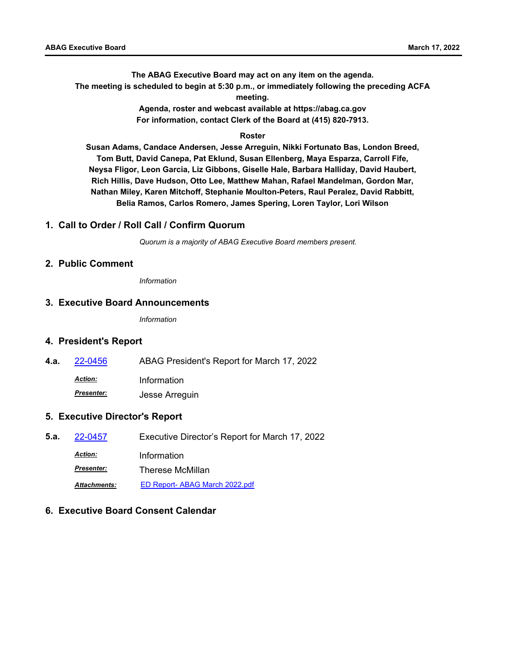**The ABAG Executive Board may act on any item on the agenda. The meeting is scheduled to begin at 5:30 p.m., or immediately following the preceding ACFA meeting.**

> **Agenda, roster and webcast available at https://abag.ca.gov For information, contact Clerk of the Board at (415) 820-7913.**

#### **Roster**

**Susan Adams, Candace Andersen, Jesse Arreguin, Nikki Fortunato Bas, London Breed, Tom Butt, David Canepa, Pat Eklund, Susan Ellenberg, Maya Esparza, Carroll Fife, Neysa Fligor, Leon Garcia, Liz Gibbons, Giselle Hale, Barbara Halliday, David Haubert, Rich Hillis, Dave Hudson, Otto Lee, Matthew Mahan, Rafael Mandelman, Gordon Mar, Nathan Miley, Karen Mitchoff, Stephanie Moulton-Peters, Raul Peralez, David Rabbitt, Belia Ramos, Carlos Romero, James Spering, Loren Taylor, Lori Wilson**

#### **1. Call to Order / Roll Call / Confirm Quorum**

*Quorum is a majority of ABAG Executive Board members present.*

#### **2. Public Comment**

*Information*

#### **3. Executive Board Announcements**

*Information*

#### **4. President's Report**

**4.a.** [22-0456](http://mtc.legistar.com/gateway.aspx?m=l&id=/matter.aspx?key=23715) ABAG President's Report for March 17, 2022

*Action:* Information

*Presenter:* Jesse Arreguin

#### **5. Executive Director's Report**

**5.a.** [22-0457](http://mtc.legistar.com/gateway.aspx?m=l&id=/matter.aspx?key=23716) Executive Director's Report for March 17, 2022 *Action:* Information *Presenter:* Therese McMillan *Attachments:* [ED Report- ABAG March 2022.pdf](http://mtc.legistar.com/gateway.aspx?M=F&ID=b22a1306-4470-4173-a62f-b0712b09f8c2.pdf)

#### **6. Executive Board Consent Calendar**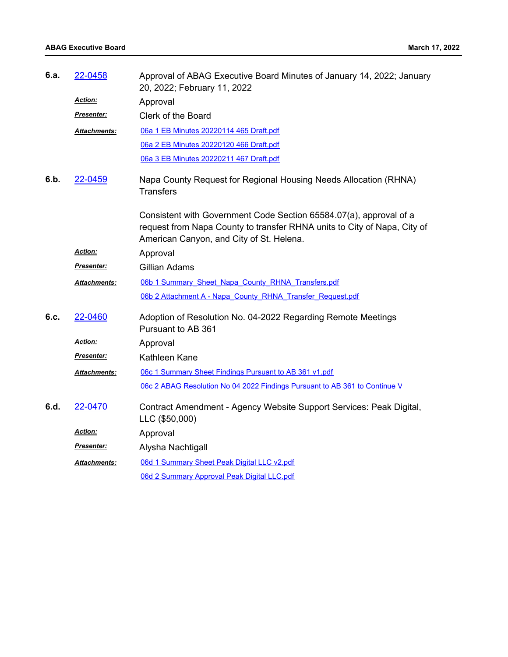| 6.a. | 22-0458              | Approval of ABAG Executive Board Minutes of January 14, 2022; January<br>20, 2022; February 11, 2022                                                                                       |
|------|----------------------|--------------------------------------------------------------------------------------------------------------------------------------------------------------------------------------------|
|      | <b>Action:</b>       | Approval                                                                                                                                                                                   |
|      | <u>Presenter:</u>    | Clerk of the Board                                                                                                                                                                         |
|      | <u> Attachments:</u> | 06a 1 EB Minutes 20220114 465 Draft.pdf                                                                                                                                                    |
|      |                      | 06a 2 EB Minutes 20220120 466 Draft.pdf                                                                                                                                                    |
|      |                      | 06a 3 EB Minutes 20220211 467 Draft.pdf                                                                                                                                                    |
| 6.b. | 22-0459              | Napa County Request for Regional Housing Needs Allocation (RHNA)<br><b>Transfers</b>                                                                                                       |
|      |                      | Consistent with Government Code Section 65584.07(a), approval of a<br>request from Napa County to transfer RHNA units to City of Napa, City of<br>American Canyon, and City of St. Helena. |
|      | Action:              | Approval                                                                                                                                                                                   |
|      | Presenter:           | <b>Gillian Adams</b>                                                                                                                                                                       |
|      | Attachments:         | 06b 1 Summary Sheet Napa County RHNA Transfers.pdf                                                                                                                                         |
|      |                      | 06b 2 Attachment A - Napa County RHNA Transfer Request.pdf                                                                                                                                 |
| 6.c. | 22-0460              | Adoption of Resolution No. 04-2022 Regarding Remote Meetings<br>Pursuant to AB 361                                                                                                         |
|      | <u>Action:</u>       | Approval                                                                                                                                                                                   |
|      | <u>Presenter:</u>    | Kathleen Kane                                                                                                                                                                              |
|      | <u> Attachments:</u> | 06c 1 Summary Sheet Findings Pursuant to AB 361 v1.pdf                                                                                                                                     |
|      |                      | 06c 2 ABAG Resolution No 04 2022 Findings Pursuant to AB 361 to Continue V                                                                                                                 |
| 6.d. | 22-0470              | Contract Amendment - Agency Website Support Services: Peak Digital,<br>LLC (\$50,000)                                                                                                      |
|      | <u>Action:</u>       | Approval                                                                                                                                                                                   |
|      | <u> Presenter:</u>   | Alysha Nachtigall                                                                                                                                                                          |
|      | Attachments:         | 06d 1 Summary Sheet Peak Digital LLC v2.pdf                                                                                                                                                |
|      |                      | 06d 2 Summary Approval Peak Digital LLC.pdf                                                                                                                                                |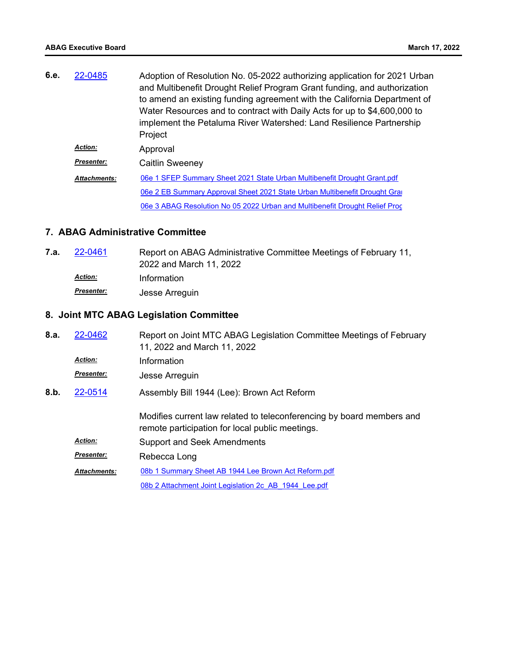| 6.e. | 22-0485             | Adoption of Resolution No. 05-2022 authorizing application for 2021 Urban<br>and Multibenefit Drought Relief Program Grant funding, and authorization |
|------|---------------------|-------------------------------------------------------------------------------------------------------------------------------------------------------|
|      |                     | to amend an existing funding agreement with the California Department of<br>Water Resources and to contract with Daily Acts for up to \$4,600,000 to  |
|      |                     | implement the Petaluma River Watershed: Land Resilience Partnership<br>Project                                                                        |
|      | <b>Action:</b>      | Approval                                                                                                                                              |
|      | Presenter:          | Caitlin Sweeney                                                                                                                                       |
|      | <b>Attachments:</b> | 06e 1 SFEP Summary Sheet 2021 State Urban Multibenefit Drought Grant.pdf                                                                              |
|      |                     | 06e 2 EB Summary Approval Sheet 2021 State Urban Multibenefit Drought Grai                                                                            |
|      |                     | 06e 3 ABAG Resolution No 05 2022 Urban and Multibenefit Drought Relief Proc                                                                           |

### **7. ABAG Administrative Committee**

| 7.a. | 22-0461        | Report on ABAG Administrative Committee Meetings of February 11, |
|------|----------------|------------------------------------------------------------------|
|      |                | 2022 and March 11, 2022                                          |
|      | <b>Action:</b> | Information                                                      |
|      | Presenter:     | Jesse Arreguin                                                   |

# **8. Joint MTC ABAG Legislation Committee**

| 8.a. | 22-0462             | Report on Joint MTC ABAG Legislation Committee Meetings of February<br>11, 2022 and March 11, 2022                       |
|------|---------------------|--------------------------------------------------------------------------------------------------------------------------|
|      | <b>Action:</b>      | Information                                                                                                              |
|      | <b>Presenter:</b>   | Jesse Arreguin                                                                                                           |
| 8.b. | 22-0514             | Assembly Bill 1944 (Lee): Brown Act Reform                                                                               |
|      |                     | Modifies current law related to teleconferencing by board members and<br>remote participation for local public meetings. |
|      | <b>Action:</b>      | <b>Support and Seek Amendments</b>                                                                                       |
|      | <b>Presenter:</b>   | Rebecca Long                                                                                                             |
|      | <b>Attachments:</b> | 08b 1 Summary Sheet AB 1944 Lee Brown Act Reform.pdf                                                                     |
|      |                     | 08b 2 Attachment Joint Legislation 2c AB 1944 Lee.pdf                                                                    |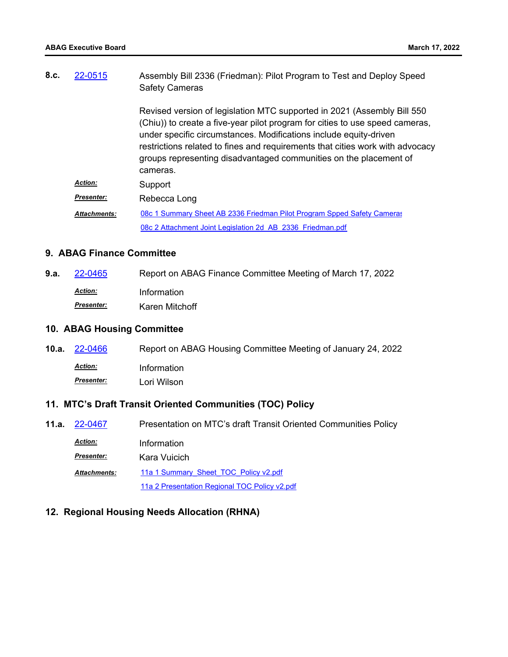| 8.c. | 22-0515             | Assembly Bill 2336 (Friedman): Pilot Program to Test and Deploy Speed<br><b>Safety Cameras</b>                                                                                                                                                                                                                                                                                                  |
|------|---------------------|-------------------------------------------------------------------------------------------------------------------------------------------------------------------------------------------------------------------------------------------------------------------------------------------------------------------------------------------------------------------------------------------------|
|      |                     | Revised version of legislation MTC supported in 2021 (Assembly Bill 550)<br>(Chiu)) to create a five-year pilot program for cities to use speed cameras,<br>under specific circumstances. Modifications include equity-driven<br>restrictions related to fines and requirements that cities work with advocacy<br>groups representing disadvantaged communities on the placement of<br>cameras. |
|      | <b>Action:</b>      | Support                                                                                                                                                                                                                                                                                                                                                                                         |
|      | <b>Presenter:</b>   | Rebecca Long                                                                                                                                                                                                                                                                                                                                                                                    |
|      | <b>Attachments:</b> | 08c 1 Summary Sheet AB 2336 Friedman Pilot Program Spped Safety Cameras                                                                                                                                                                                                                                                                                                                         |
|      |                     | 08c 2 Attachment Joint Legislation 2d AB 2336 Friedman.pdf                                                                                                                                                                                                                                                                                                                                      |

### **9. ABAG Finance Committee**

| 9.a. | 22-0465        | Report on ABAG Finance Committee Meeting of March 17, 2022 |
|------|----------------|------------------------------------------------------------|
|      | <u>Action:</u> | Information                                                |
|      | Presenter:     | Karen Mitchoff                                             |

### **10. ABAG Housing Committee**

| <b>10.a.</b> $22 - 0466$ | Report on ABAG Housing Committee Meeting of January 24, 2022 |
|--------------------------|--------------------------------------------------------------|
| <u>Action:</u>           | Information                                                  |
| <b>Presenter:</b>        | Lori Wilson                                                  |

# **11. MTC's Draft Transit Oriented Communities (TOC) Policy**

| <b>11.a.</b> 22-0467 | Presentation on MTC's draft Transit Oriented Communities Policy |
|----------------------|-----------------------------------------------------------------|
| <b>Action:</b>       | Information                                                     |
| <b>Presenter:</b>    | Kara Vuicich                                                    |
| <b>Attachments:</b>  | 11a 1 Summary Sheet TOC Policy v2.pdf                           |
|                      | 11a 2 Presentation Regional TOC Policy v2.pdf                   |

### **12. Regional Housing Needs Allocation (RHNA)**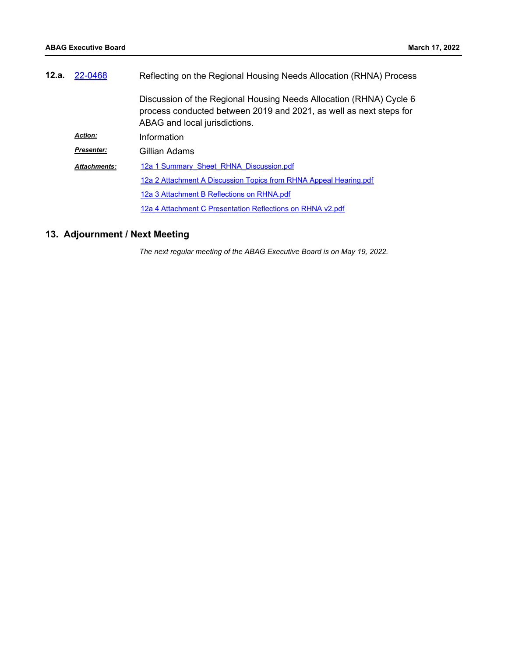| 12.a. | 22-0468             | Reflecting on the Regional Housing Needs Allocation (RHNA) Process                                                                                                        |
|-------|---------------------|---------------------------------------------------------------------------------------------------------------------------------------------------------------------------|
|       |                     | Discussion of the Regional Housing Needs Allocation (RHNA) Cycle 6<br>process conducted between 2019 and 2021, as well as next steps for<br>ABAG and local jurisdictions. |
|       | <b>Action:</b>      | Information                                                                                                                                                               |
|       | <b>Presenter:</b>   | Gillian Adams                                                                                                                                                             |
|       | <b>Attachments:</b> | 12a 1 Summary Sheet RHNA Discussion.pdf                                                                                                                                   |
|       |                     | 12a 2 Attachment A Discussion Topics from RHNA Appeal Hearing.pdf                                                                                                         |
|       |                     | 12a 3 Attachment B Reflections on RHNA.pdf                                                                                                                                |
|       |                     | 12a 4 Attachment C Presentation Reflections on RHNA v2.pdf                                                                                                                |

# **13. Adjournment / Next Meeting**

*The next regular meeting of the ABAG Executive Board is on May 19, 2022.*